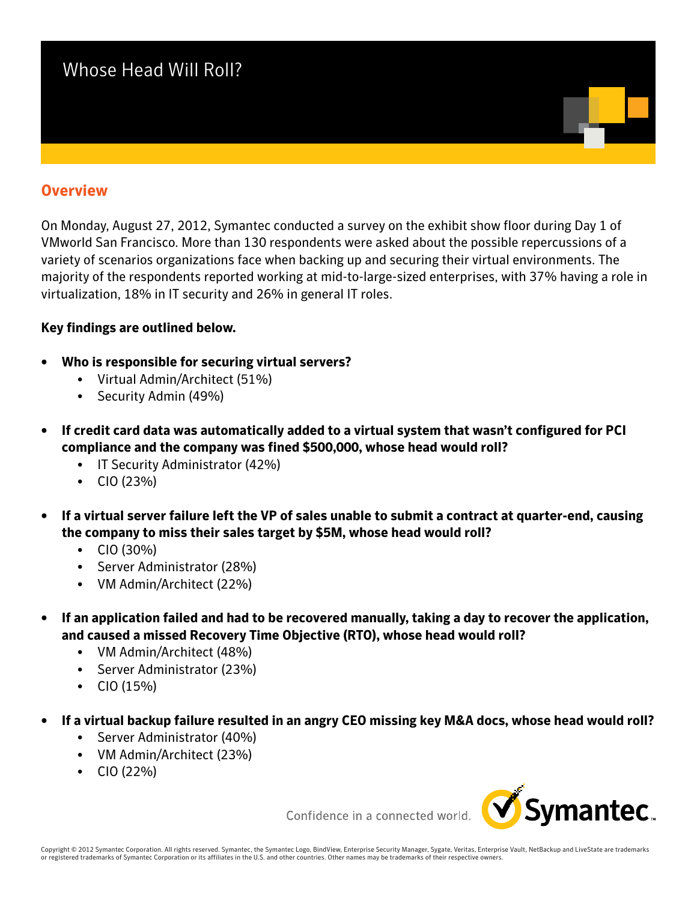# Whose Head Will Roll?

### **Overview**

On Monday, August 27, 2012, Symantec conducted a survey on the exhibit show floor during Day 1 of VMworld San Francisco. More than 130 respondents were asked about the possible repercussions of a variety of scenarios organizations face when backing up and securing their virtual environments. The majority of the respondents reported working at mid-to-large-sized enterprises, with 37% having a role in virtualization, 18% in IT security and 26% in general IT roles.

#### **Key findings are outlined below.**

- **• Who is responsible for securing virtual servers?**
	- • Virtual Admin/Architect (51%)
	- • Security Admin (49%)
- **• If credit card data was automatically added to a virtual system that wasn't configured for PCI compliance and the company was fined \$500,000, whose head would roll?**
	- IT Security Administrator (42%)
	- $\bullet$  CIO (23%)
- **• If a virtual server failure left the VP of sales unable to submit a contract at quarter-end, causing the company to miss their sales target by \$5M, whose head would roll?**
	- $\bullet$  CIO (30%)
	- • Server Administrator (28%)
	- VM Admin/Architect (22%)
- **• If an application failed and had to be recovered manually, taking a day to recover the application, and caused a missed Recovery Time Objective (RTO), whose head would roll?**
	- VM Admin/Architect (48%)
	- • Server Administrator (23%)
	- CIO  $(15%)$
- **• If a virtual backup failure resulted in an angry CEO missing key M&A docs, whose head would roll?**
	- • Server Administrator (40%)
	- VM Admin/Architect (23%)
	- $\bullet$  CIO (22%)

Confidence in a connected world.